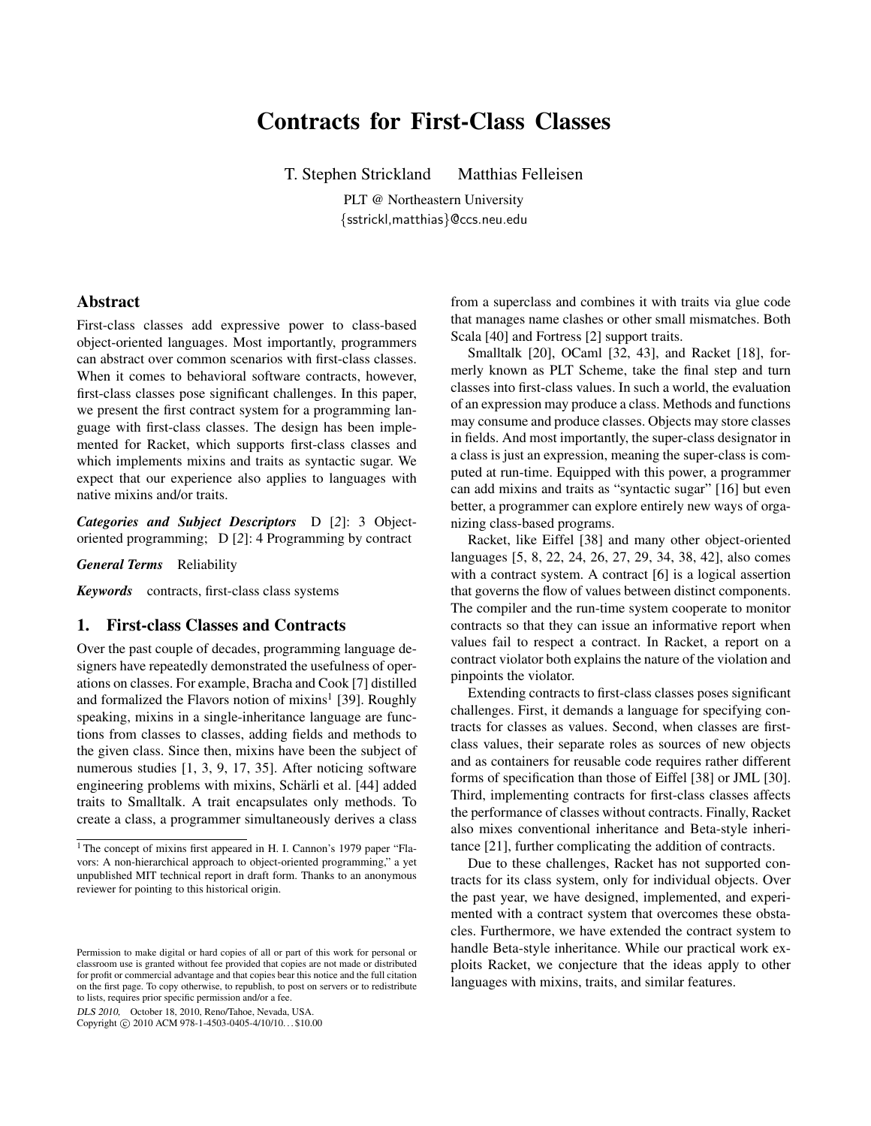# Contracts for First-Class Classes

T. Stephen Strickland Matthias Felleisen

PLT @ Northeastern University {sstrickl,matthias}@ccs.neu.edu

## Abstract

First-class classes add expressive power to class-based object-oriented languages. Most importantly, programmers can abstract over common scenarios with first-class classes. When it comes to behavioral software contracts, however, first-class classes pose significant challenges. In this paper, we present the first contract system for a programming language with first-class classes. The design has been implemented for Racket, which supports first-class classes and which implements mixins and traits as syntactic sugar. We expect that our experience also applies to languages with native mixins and/or traits.

*Categories and Subject Descriptors* D [*2*]: 3 Objectoriented programming; D [*2*]: 4 Programming by contract

*General Terms* Reliability

*Keywords* contracts, first-class class systems

## 1. First-class Classes and Contracts

Over the past couple of decades, programming language designers have repeatedly demonstrated the usefulness of operations on classes. For example, Bracha and Cook [7] distilled and formalized the Flavors notion of mixins<sup>1</sup> [39]. Roughly speaking, mixins in a single-inheritance language are functions from classes to classes, adding fields and methods to the given class. Since then, mixins have been the subject of numerous studies [1, 3, 9, 17, 35]. After noticing software engineering problems with mixins, Schärli et al. [44] added traits to Smalltalk. A trait encapsulates only methods. To create a class, a programmer simultaneously derives a class

DLS 2010, October 18, 2010, Reno/Tahoe, Nevada, USA.

Copyright © 2010 ACM 978-1-4503-0405-4/10/10... \$10.00

from a superclass and combines it with traits via glue code that manages name clashes or other small mismatches. Both Scala [40] and Fortress [2] support traits.

Smalltalk [20], OCaml [32, 43], and Racket [18], formerly known as PLT Scheme, take the final step and turn classes into first-class values. In such a world, the evaluation of an expression may produce a class. Methods and functions may consume and produce classes. Objects may store classes in fields. And most importantly, the super-class designator in a class is just an expression, meaning the super-class is computed at run-time. Equipped with this power, a programmer can add mixins and traits as "syntactic sugar" [16] but even better, a programmer can explore entirely new ways of organizing class-based programs.

Racket, like Eiffel [38] and many other object-oriented languages [5, 8, 22, 24, 26, 27, 29, 34, 38, 42], also comes with a contract system. A contract [6] is a logical assertion that governs the flow of values between distinct components. The compiler and the run-time system cooperate to monitor contracts so that they can issue an informative report when values fail to respect a contract. In Racket, a report on a contract violator both explains the nature of the violation and pinpoints the violator.

Extending contracts to first-class classes poses significant challenges. First, it demands a language for specifying contracts for classes as values. Second, when classes are firstclass values, their separate roles as sources of new objects and as containers for reusable code requires rather different forms of specification than those of Eiffel [38] or JML [30]. Third, implementing contracts for first-class classes affects the performance of classes without contracts. Finally, Racket also mixes conventional inheritance and Beta-style inheritance [21], further complicating the addition of contracts.

Due to these challenges, Racket has not supported contracts for its class system, only for individual objects. Over the past year, we have designed, implemented, and experimented with a contract system that overcomes these obstacles. Furthermore, we have extended the contract system to handle Beta-style inheritance. While our practical work exploits Racket, we conjecture that the ideas apply to other languages with mixins, traits, and similar features.

<sup>&</sup>lt;sup>1</sup> The concept of mixins first appeared in H. I. Cannon's 1979 paper "Flavors: A non-hierarchical approach to object-oriented programming," a yet unpublished MIT technical report in draft form. Thanks to an anonymous reviewer for pointing to this historical origin.

Permission to make digital or hard copies of all or part of this work for personal or classroom use is granted without fee provided that copies are not made or distributed for profit or commercial advantage and that copies bear this notice and the full citation on the first page. To copy otherwise, to republish, to post on servers or to redistribute to lists, requires prior specific permission and/or a fee.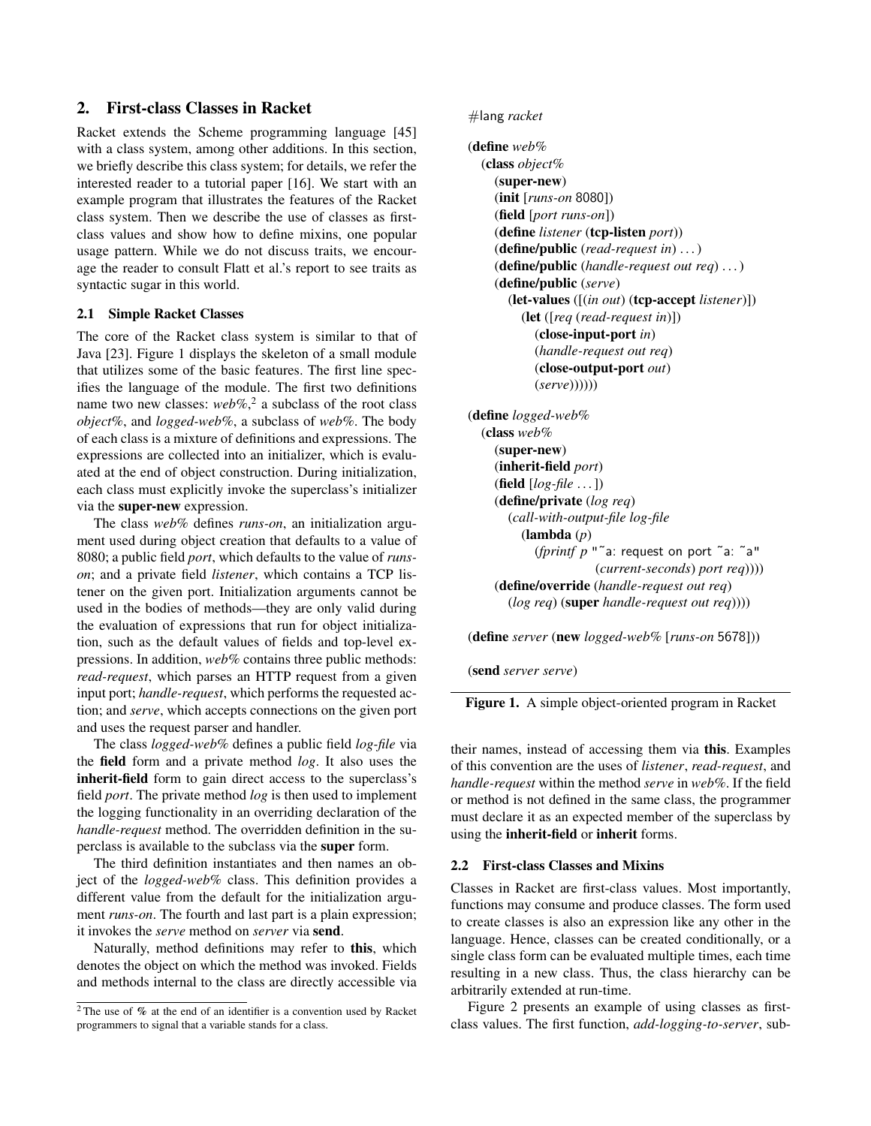# 2. First-class Classes in Racket

Racket extends the Scheme programming language [45] with a class system, among other additions. In this section, we briefly describe this class system; for details, we refer the interested reader to a tutorial paper [16]. We start with an example program that illustrates the features of the Racket class system. Then we describe the use of classes as firstclass values and show how to define mixins, one popular usage pattern. While we do not discuss traits, we encourage the reader to consult Flatt et al.'s report to see traits as syntactic sugar in this world.

#### 2.1 Simple Racket Classes

The core of the Racket class system is similar to that of Java [23]. Figure 1 displays the skeleton of a small module that utilizes some of the basic features. The first line specifies the language of the module. The first two definitions name two new classes: *web%*, 2 a subclass of the root class *object%*, and *logged-web%*, a subclass of *web%*. The body of each class is a mixture of definitions and expressions. The expressions are collected into an initializer, which is evaluated at the end of object construction. During initialization, each class must explicitly invoke the superclass's initializer via the super-new expression.

The class *web%* defines *runs-on*, an initialization argument used during object creation that defaults to a value of 8080; a public field *port*, which defaults to the value of *runson*; and a private field *listener*, which contains a TCP listener on the given port. Initialization arguments cannot be used in the bodies of methods—they are only valid during the evaluation of expressions that run for object initialization, such as the default values of fields and top-level expressions. In addition, *web%* contains three public methods: *read-request*, which parses an HTTP request from a given input port; *handle-request*, which performs the requested action; and *serve*, which accepts connections on the given port and uses the request parser and handler.

The class *logged-web%* defines a public field *log-file* via the field form and a private method *log*. It also uses the inherit-field form to gain direct access to the superclass's field *port*. The private method *log* is then used to implement the logging functionality in an overriding declaration of the *handle-request* method. The overridden definition in the superclass is available to the subclass via the super form.

The third definition instantiates and then names an object of the *logged-web%* class. This definition provides a different value from the default for the initialization argument *runs-on*. The fourth and last part is a plain expression; it invokes the *serve* method on *server* via send.

Naturally, method definitions may refer to this, which denotes the object on which the method was invoked. Fields and methods internal to the class are directly accessible via

## #lang *racket*

```
(define web%
  (class object%
    (super-new)
    (init [runs-on 8080])
    (field [port runs-on])
    (define listener (tcp-listen port))
    (define/public (read-request in) . . . )
    (define/public (handle-request out req) . . . )
    (define/public (serve)
       (let-values ([(in out) (tcp-accept listener)])
         (let ([req (read-request in)])
            (close-input-port in)
            (handle-request out req)
            (close-output-port out)
            (serve))))))
(define logged-web%
  (class web%
    (super-new)
    (inherit-field port)
    (field [log-file . . . ])
    (define/private (log req)
       (call-with-output-file log-file
         (lambda (p)
            (fprintf p "˜a: request on port ˜a: ˜a"
                       (current-seconds) port req))))
    (define/override (handle-request out req)
       (log req) (super handle-request out req))))
```
(define *server* (new *logged-web%* [*runs-on* 5678]))

(send *server serve*)

Figure 1. A simple object-oriented program in Racket

their names, instead of accessing them via this. Examples of this convention are the uses of *listener*, *read-request*, and *handle-request* within the method *serve* in *web%*. If the field or method is not defined in the same class, the programmer must declare it as an expected member of the superclass by using the inherit-field or inherit forms.

#### 2.2 First-class Classes and Mixins

Classes in Racket are first-class values. Most importantly, functions may consume and produce classes. The form used to create classes is also an expression like any other in the language. Hence, classes can be created conditionally, or a single class form can be evaluated multiple times, each time resulting in a new class. Thus, the class hierarchy can be arbitrarily extended at run-time.

Figure 2 presents an example of using classes as firstclass values. The first function, *add-logging-to-server*, sub-

 $2$ The use of % at the end of an identifier is a convention used by Racket programmers to signal that a variable stands for a class.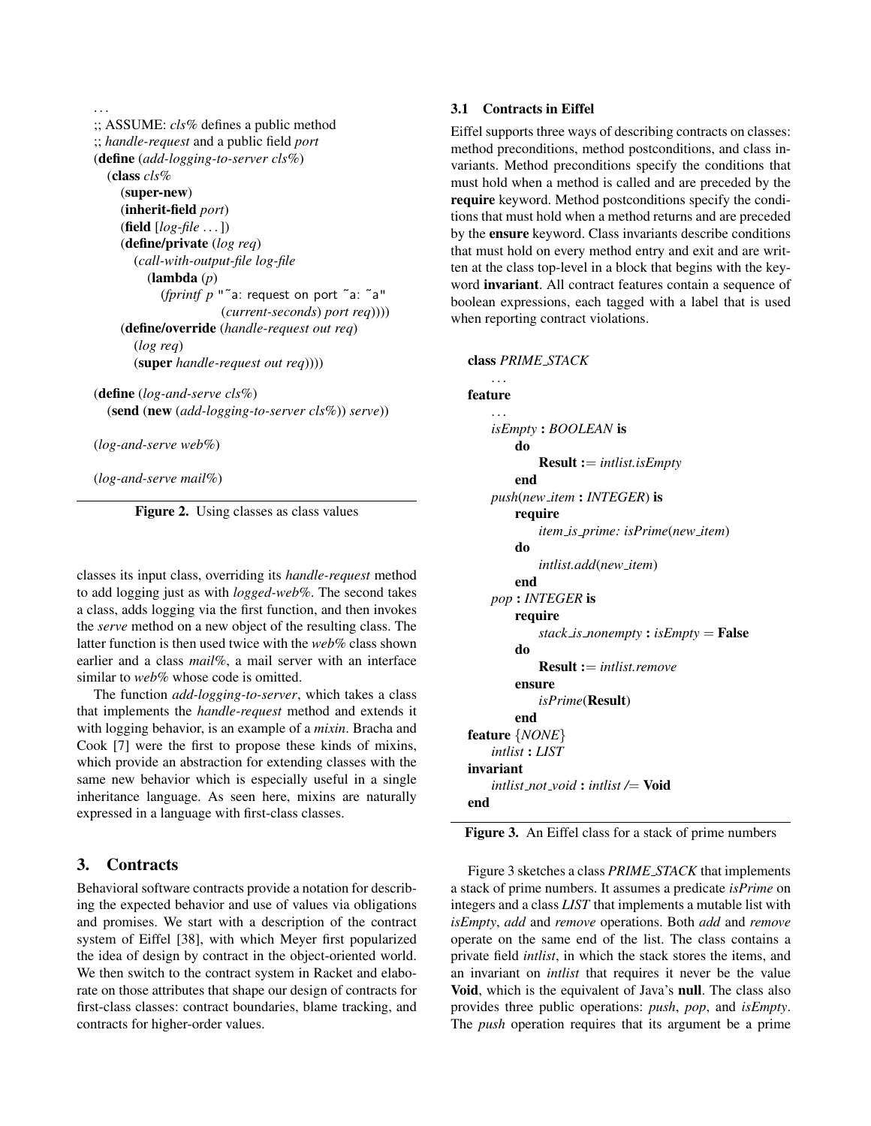```
. . .
;; ASSUME: cls% defines a public method
;; handle-request and a public field port
(define (add-logging-to-server cls%)
  (class cls%
    (super-new)
    (inherit-field port)
    (field [log-file . . . ])
    (define/private (log req)
       (call-with-output-file log-file
         (lambda (p)
            (fprintf p "˜a: request on port ˜a: ˜a"
                       (current-seconds) port req))))
    (define/override (handle-request out req)
       (log req)
       (super handle-request out req))))
```
(define (*log-and-serve cls%*) (send (new (*add-logging-to-server cls%*)) *serve*))

(*log-and-serve web%*)

(*log-and-serve mail%*)

Figure 2. Using classes as class values

classes its input class, overriding its *handle-request* method to add logging just as with *logged-web%*. The second takes a class, adds logging via the first function, and then invokes the *serve* method on a new object of the resulting class. The latter function is then used twice with the *web%* class shown earlier and a class *mail%*, a mail server with an interface similar to *web%* whose code is omitted.

The function *add-logging-to-server*, which takes a class that implements the *handle-request* method and extends it with logging behavior, is an example of a *mixin*. Bracha and Cook [7] were the first to propose these kinds of mixins, which provide an abstraction for extending classes with the same new behavior which is especially useful in a single inheritance language. As seen here, mixins are naturally expressed in a language with first-class classes.

# 3. Contracts

Behavioral software contracts provide a notation for describing the expected behavior and use of values via obligations and promises. We start with a description of the contract system of Eiffel [38], with which Meyer first popularized the idea of design by contract in the object-oriented world. We then switch to the contract system in Racket and elaborate on those attributes that shape our design of contracts for first-class classes: contract boundaries, blame tracking, and contracts for higher-order values.

#### 3.1 Contracts in Eiffel

Eiffel supports three ways of describing contracts on classes: method preconditions, method postconditions, and class invariants. Method preconditions specify the conditions that must hold when a method is called and are preceded by the require keyword. Method postconditions specify the conditions that must hold when a method returns and are preceded by the ensure keyword. Class invariants describe conditions that must hold on every method entry and exit and are written at the class top-level in a block that begins with the keyword invariant. All contract features contain a sequence of boolean expressions, each tagged with a label that is used when reporting contract violations.

#### class *PRIME STACK*

# . . . feature *isEmpty* : *BOOLEAN* is do Result := *intlist.isEmpty* end *push*(*new item* : *INTEGER*) is require *item is prime: isPrime*(*new item*) do *intlist.add*(*new item*) end *pop* : *INTEGER* is require *stack is nonempty* : *isEmpty* = False do Result := *intlist.remove* ensure *isPrime*(Result) end feature {*NONE*} *intlist* : *LIST* invariant *intlist not void* : *intlist /*= Void end

Figure 3. An Eiffel class for a stack of prime numbers

Figure 3 sketches a class *PRIME STACK* that implements a stack of prime numbers. It assumes a predicate *isPrime* on integers and a class *LIST* that implements a mutable list with *isEmpty*, *add* and *remove* operations. Both *add* and *remove* operate on the same end of the list. The class contains a private field *intlist*, in which the stack stores the items, and an invariant on *intlist* that requires it never be the value Void, which is the equivalent of Java's null. The class also provides three public operations: *push*, *pop*, and *isEmpty*. The *push* operation requires that its argument be a prime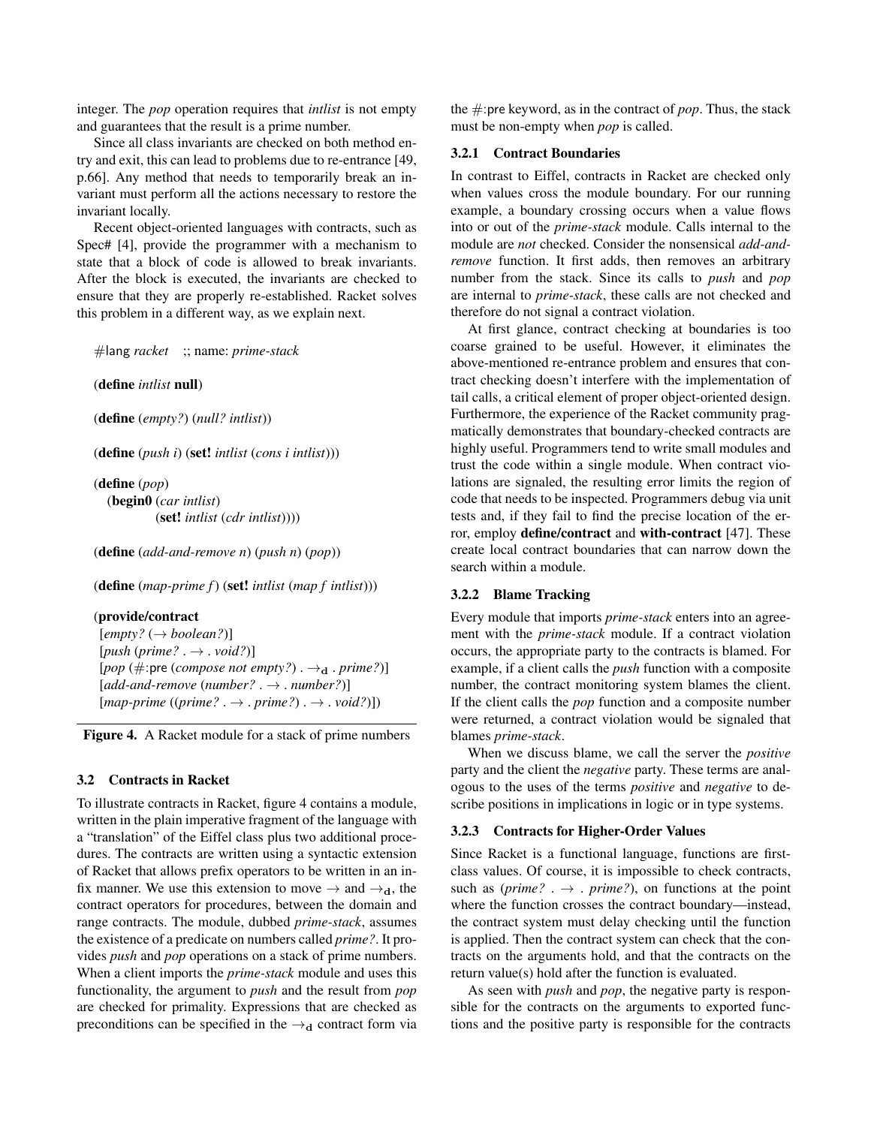integer. The *pop* operation requires that *intlist* is not empty and guarantees that the result is a prime number.

Since all class invariants are checked on both method entry and exit, this can lead to problems due to re-entrance [49, p.66]. Any method that needs to temporarily break an invariant must perform all the actions necessary to restore the invariant locally.

Recent object-oriented languages with contracts, such as Spec# [4], provide the programmer with a mechanism to state that a block of code is allowed to break invariants. After the block is executed, the invariants are checked to ensure that they are properly re-established. Racket solves this problem in a different way, as we explain next.

```
#lang racket ;; name: prime-stack
```
(define *intlist* null)

(define (*empty?*) (*null? intlist*))

(define (*push i*) (set! *intlist* (*cons i intlist*)))

(define (*pop*) (begin0 (*car intlist*) (set! *intlist* (*cdr intlist*))))

(define (*add-and-remove n*) (*push n*) (*pop*))

(define (*map-prime f*) (set! *intlist* (*map f intlist*)))

## (provide/contract

[*empty?* (→ *boolean?*)]  $[push (prime? \rightarrow .\,void?)]$  $[pop (\#:pre (composite not empty?) . \rightarrow<sub>d</sub> . prime?)]$  $[add-and-remove (number? . \rightarrow . number?)]$ [*map-prime* ((*prime?* . → . *prime?*) . → . *void?*)])

Figure 4. A Racket module for a stack of prime numbers

#### 3.2 Contracts in Racket

To illustrate contracts in Racket, figure 4 contains a module, written in the plain imperative fragment of the language with a "translation" of the Eiffel class plus two additional procedures. The contracts are written using a syntactic extension of Racket that allows prefix operators to be written in an infix manner. We use this extension to move  $\rightarrow$  and  $\rightarrow_d$ , the contract operators for procedures, between the domain and range contracts. The module, dubbed *prime-stack*, assumes the existence of a predicate on numbers called *prime?*. It provides *push* and *pop* operations on a stack of prime numbers. When a client imports the *prime-stack* module and uses this functionality, the argument to *push* and the result from *pop* are checked for primality. Expressions that are checked as preconditions can be specified in the  $\rightarrow_d$  contract form via the #:pre keyword, as in the contract of *pop*. Thus, the stack must be non-empty when *pop* is called.

#### 3.2.1 Contract Boundaries

In contrast to Eiffel, contracts in Racket are checked only when values cross the module boundary. For our running example, a boundary crossing occurs when a value flows into or out of the *prime-stack* module. Calls internal to the module are *not* checked. Consider the nonsensical *add-andremove* function. It first adds, then removes an arbitrary number from the stack. Since its calls to *push* and *pop* are internal to *prime-stack*, these calls are not checked and therefore do not signal a contract violation.

At first glance, contract checking at boundaries is too coarse grained to be useful. However, it eliminates the above-mentioned re-entrance problem and ensures that contract checking doesn't interfere with the implementation of tail calls, a critical element of proper object-oriented design. Furthermore, the experience of the Racket community pragmatically demonstrates that boundary-checked contracts are highly useful. Programmers tend to write small modules and trust the code within a single module. When contract violations are signaled, the resulting error limits the region of code that needs to be inspected. Programmers debug via unit tests and, if they fail to find the precise location of the error, employ define/contract and with-contract [47]. These create local contract boundaries that can narrow down the search within a module.

## 3.2.2 Blame Tracking

Every module that imports *prime-stack* enters into an agreement with the *prime-stack* module. If a contract violation occurs, the appropriate party to the contracts is blamed. For example, if a client calls the *push* function with a composite number, the contract monitoring system blames the client. If the client calls the *pop* function and a composite number were returned, a contract violation would be signaled that blames *prime-stack*.

When we discuss blame, we call the server the *positive* party and the client the *negative* party. These terms are analogous to the uses of the terms *positive* and *negative* to describe positions in implications in logic or in type systems.

#### 3.2.3 Contracts for Higher-Order Values

Since Racket is a functional language, functions are firstclass values. Of course, it is impossible to check contracts, such as  $\text{(prime? .} \rightarrow \text{. prime?}, \text{ on functions at the point})$ where the function crosses the contract boundary—instead, the contract system must delay checking until the function is applied. Then the contract system can check that the contracts on the arguments hold, and that the contracts on the return value(s) hold after the function is evaluated.

As seen with *push* and *pop*, the negative party is responsible for the contracts on the arguments to exported functions and the positive party is responsible for the contracts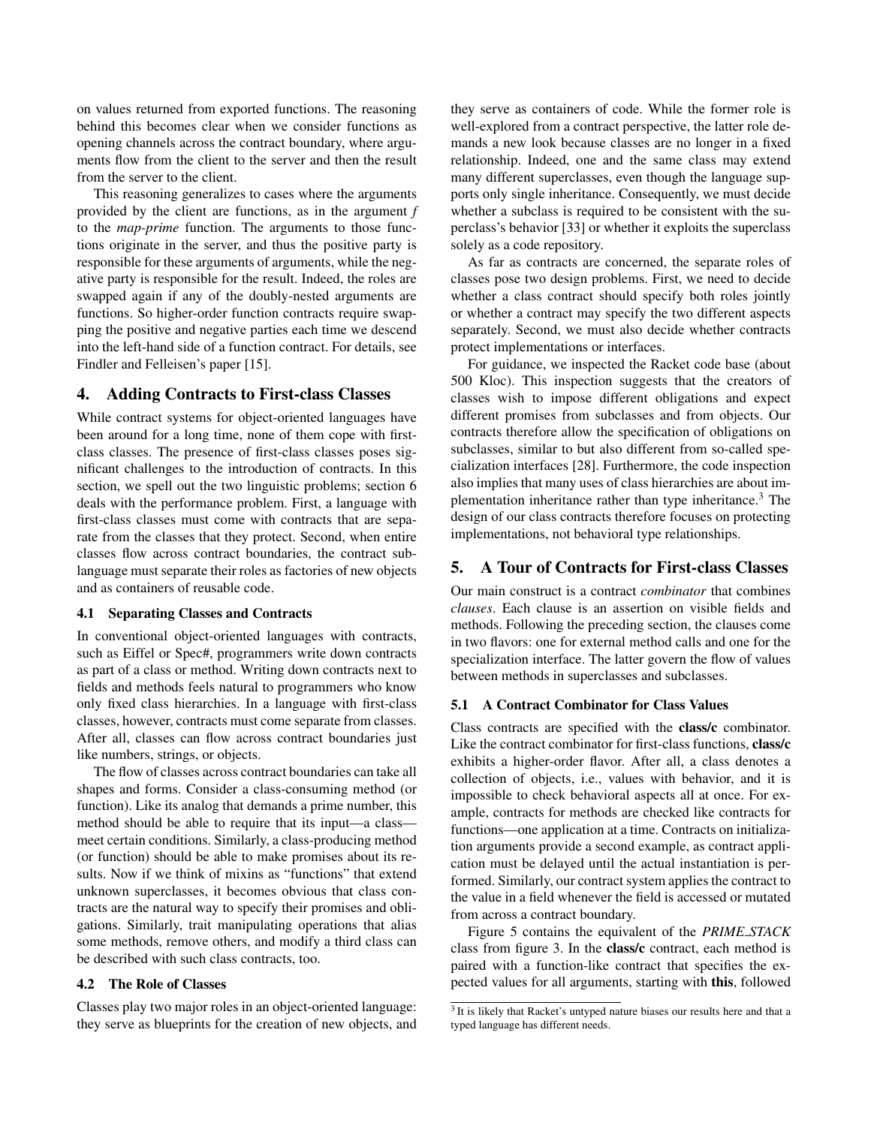on values returned from exported functions. The reasoning behind this becomes clear when we consider functions as opening channels across the contract boundary, where arguments flow from the client to the server and then the result from the server to the client.

This reasoning generalizes to cases where the arguments provided by the client are functions, as in the argument *f* to the *map-prime* function. The arguments to those functions originate in the server, and thus the positive party is responsible for these arguments of arguments, while the negative party is responsible for the result. Indeed, the roles are swapped again if any of the doubly-nested arguments are functions. So higher-order function contracts require swapping the positive and negative parties each time we descend into the left-hand side of a function contract. For details, see Findler and Felleisen's paper [15].

## 4. Adding Contracts to First-class Classes

While contract systems for object-oriented languages have been around for a long time, none of them cope with firstclass classes. The presence of first-class classes poses significant challenges to the introduction of contracts. In this section, we spell out the two linguistic problems; section 6 deals with the performance problem. First, a language with first-class classes must come with contracts that are separate from the classes that they protect. Second, when entire classes flow across contract boundaries, the contract sublanguage must separate their roles as factories of new objects and as containers of reusable code.

### 4.1 Separating Classes and Contracts

In conventional object-oriented languages with contracts, such as Eiffel or Spec#, programmers write down contracts as part of a class or method. Writing down contracts next to fields and methods feels natural to programmers who know only fixed class hierarchies. In a language with first-class classes, however, contracts must come separate from classes. After all, classes can flow across contract boundaries just like numbers, strings, or objects.

The flow of classes across contract boundaries can take all shapes and forms. Consider a class-consuming method (or function). Like its analog that demands a prime number, this method should be able to require that its input—a class meet certain conditions. Similarly, a class-producing method (or function) should be able to make promises about its results. Now if we think of mixins as "functions" that extend unknown superclasses, it becomes obvious that class contracts are the natural way to specify their promises and obligations. Similarly, trait manipulating operations that alias some methods, remove others, and modify a third class can be described with such class contracts, too.

## 4.2 The Role of Classes

Classes play two major roles in an object-oriented language: they serve as blueprints for the creation of new objects, and they serve as containers of code. While the former role is well-explored from a contract perspective, the latter role demands a new look because classes are no longer in a fixed relationship. Indeed, one and the same class may extend many different superclasses, even though the language supports only single inheritance. Consequently, we must decide whether a subclass is required to be consistent with the superclass's behavior [33] or whether it exploits the superclass solely as a code repository.

As far as contracts are concerned, the separate roles of classes pose two design problems. First, we need to decide whether a class contract should specify both roles jointly or whether a contract may specify the two different aspects separately. Second, we must also decide whether contracts protect implementations or interfaces.

For guidance, we inspected the Racket code base (about 500 Kloc). This inspection suggests that the creators of classes wish to impose different obligations and expect different promises from subclasses and from objects. Our contracts therefore allow the specification of obligations on subclasses, similar to but also different from so-called specialization interfaces [28]. Furthermore, the code inspection also implies that many uses of class hierarchies are about implementation inheritance rather than type inheritance.<sup>3</sup> The design of our class contracts therefore focuses on protecting implementations, not behavioral type relationships.

## 5. A Tour of Contracts for First-class Classes

Our main construct is a contract *combinator* that combines *clauses*. Each clause is an assertion on visible fields and methods. Following the preceding section, the clauses come in two flavors: one for external method calls and one for the specialization interface. The latter govern the flow of values between methods in superclasses and subclasses.

## 5.1 A Contract Combinator for Class Values

Class contracts are specified with the class/c combinator. Like the contract combinator for first-class functions, class/c exhibits a higher-order flavor. After all, a class denotes a collection of objects, i.e., values with behavior, and it is impossible to check behavioral aspects all at once. For example, contracts for methods are checked like contracts for functions—one application at a time. Contracts on initialization arguments provide a second example, as contract application must be delayed until the actual instantiation is performed. Similarly, our contract system applies the contract to the value in a field whenever the field is accessed or mutated from across a contract boundary.

Figure 5 contains the equivalent of the *PRIME STACK* class from figure 3. In the class/c contract, each method is paired with a function-like contract that specifies the expected values for all arguments, starting with this, followed

<sup>&</sup>lt;sup>3</sup> It is likely that Racket's untyped nature biases our results here and that a typed language has different needs.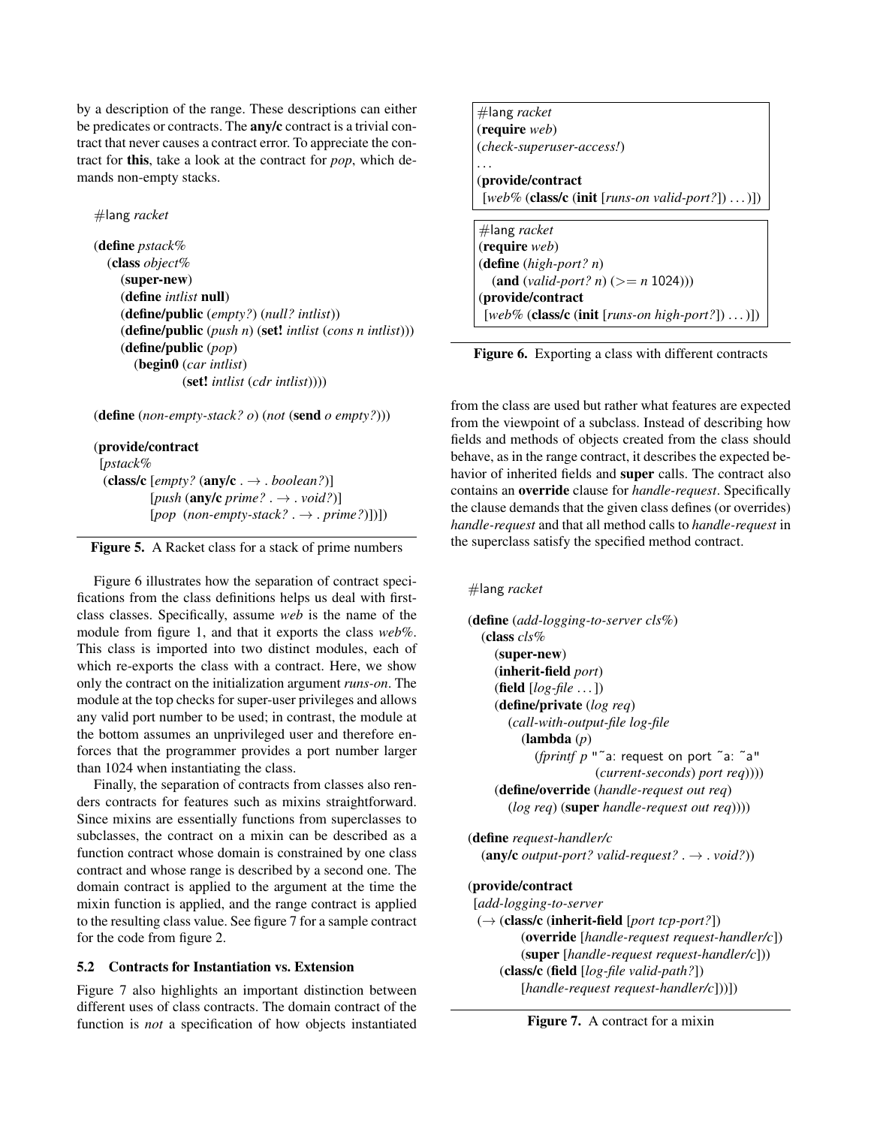by a description of the range. These descriptions can either be predicates or contracts. The **any/c** contract is a trivial contract that never causes a contract error. To appreciate the contract for this, take a look at the contract for *pop*, which demands non-empty stacks.

#lang *racket*

(define *pstack%* (class *object%* (super-new) (define *intlist* null) (define/public (*empty?*) (*null? intlist*)) (define/public (*push n*) (set! *intlist* (*cons n intlist*))) (define/public (*pop*) (begin0 (*car intlist*) (set! *intlist* (*cdr intlist*))))

(define (*non-empty-stack? o*) (*not* (send *o empty?*)))

#### (provide/contract

[*pstack%* (class/c  $[empty?$  (any/c .  $\rightarrow$  . *boolean?*)] [*push* (any/c *prime?* . → . *void?*)] [*pop* (*non-empty-stack?* . → . *prime?*)])])



Figure 6 illustrates how the separation of contract specifications from the class definitions helps us deal with firstclass classes. Specifically, assume *web* is the name of the module from figure 1, and that it exports the class *web%*. This class is imported into two distinct modules, each of which re-exports the class with a contract. Here, we show only the contract on the initialization argument *runs-on*. The module at the top checks for super-user privileges and allows any valid port number to be used; in contrast, the module at the bottom assumes an unprivileged user and therefore enforces that the programmer provides a port number larger than 1024 when instantiating the class.

Finally, the separation of contracts from classes also renders contracts for features such as mixins straightforward. Since mixins are essentially functions from superclasses to subclasses, the contract on a mixin can be described as a function contract whose domain is constrained by one class contract and whose range is described by a second one. The domain contract is applied to the argument at the time the mixin function is applied, and the range contract is applied to the resulting class value. See figure 7 for a sample contract for the code from figure 2.

# 5.2 Contracts for Instantiation vs. Extension

Figure 7 also highlights an important distinction between different uses of class contracts. The domain contract of the function is *not* a specification of how objects instantiated

#lang *racket* (require *web*) (*check-superuser-access!*) . . . (provide/contract [*web%* (class/c (init [*runs-on valid-port?*]) . . . )]) #lang *racket* (require *web*) (define (*high-port? n*) (and (*valid-port? n*) (>= *n* 1024))) (provide/contract [*web%* (class/c (init [*runs-on high-port?*]) . . . )])

Figure 6. Exporting a class with different contracts

from the class are used but rather what features are expected from the viewpoint of a subclass. Instead of describing how fields and methods of objects created from the class should behave, as in the range contract, it describes the expected behavior of inherited fields and super calls. The contract also contains an override clause for *handle-request*. Specifically the clause demands that the given class defines (or overrides) *handle-request* and that all method calls to *handle-request* in the superclass satisfy the specified method contract.

```
#lang racket
```
(define (*add-logging-to-server cls%*) (class *cls%* (super-new) (inherit-field *port*) (field [*log-file* . . . ]) (define/private (*log req*) (*call-with-output-file log-file* (lambda (*p*) (*fprintf p* "˜a: request on port ˜a: ˜a" (*current-seconds*) *port req*)))) (define/override (*handle-request out req*) (*log req*) (super *handle-request out req*))))

(define *request-handler/c*  $(\text{any/c output-port? valid-request? \rightarrow void?)$ 

## (provide/contract

[*add-logging-to-server* (→ (class/c (inherit-field [*port tcp-port?*]) (override [*handle-request request-handler/c*]) (super [*handle-request request-handler/c*])) (class/c (field [*log-file valid-path?*]) [*handle-request request-handler/c*]))])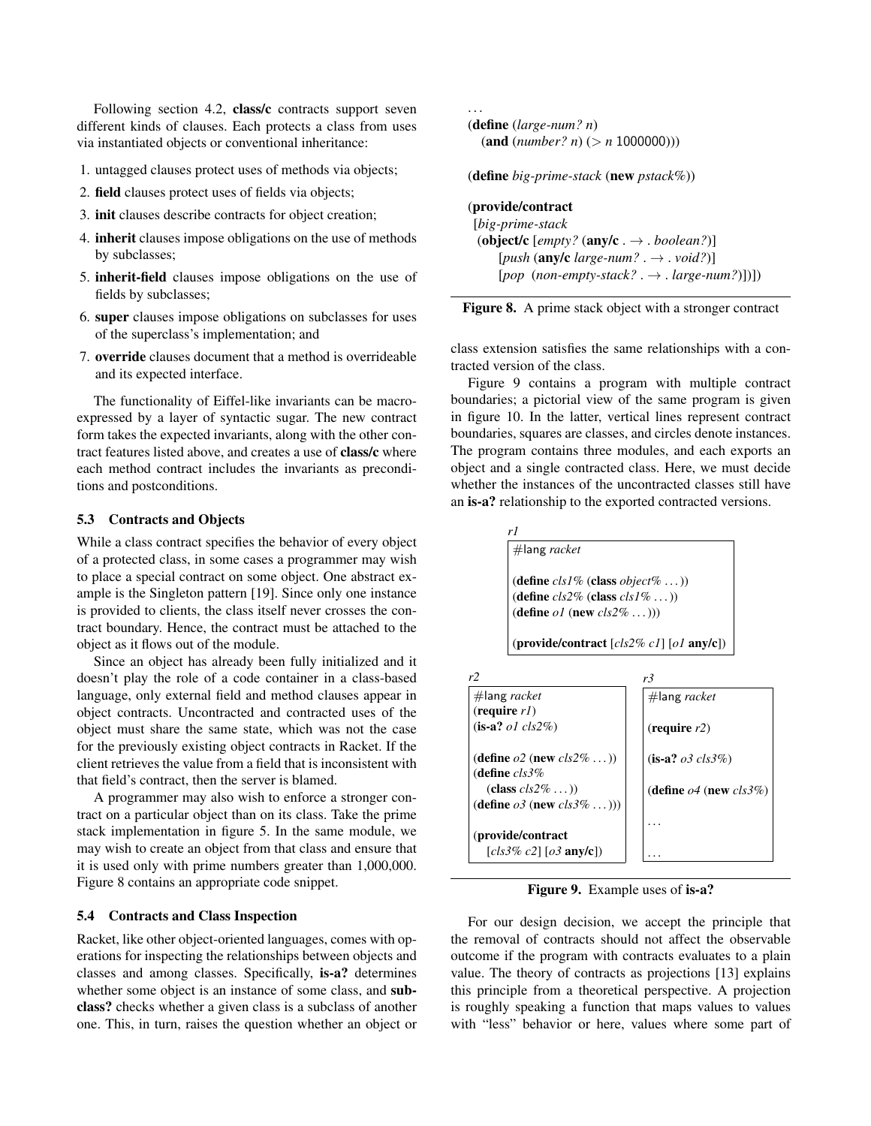Following section 4.2, class/c contracts support seven different kinds of clauses. Each protects a class from uses via instantiated objects or conventional inheritance:

- 1. untagged clauses protect uses of methods via objects;
- 2. field clauses protect uses of fields via objects;
- 3. init clauses describe contracts for object creation;
- 4. inherit clauses impose obligations on the use of methods by subclasses;
- 5. inherit-field clauses impose obligations on the use of fields by subclasses;
- 6. super clauses impose obligations on subclasses for uses of the superclass's implementation; and
- 7. override clauses document that a method is overrideable and its expected interface.

The functionality of Eiffel-like invariants can be macroexpressed by a layer of syntactic sugar. The new contract form takes the expected invariants, along with the other contract features listed above, and creates a use of class/c where each method contract includes the invariants as preconditions and postconditions.

#### 5.3 Contracts and Objects

While a class contract specifies the behavior of every object of a protected class, in some cases a programmer may wish to place a special contract on some object. One abstract example is the Singleton pattern [19]. Since only one instance is provided to clients, the class itself never crosses the contract boundary. Hence, the contract must be attached to the object as it flows out of the module.

Since an object has already been fully initialized and it doesn't play the role of a code container in a class-based language, only external field and method clauses appear in object contracts. Uncontracted and contracted uses of the object must share the same state, which was not the case for the previously existing object contracts in Racket. If the client retrieves the value from a field that is inconsistent with that field's contract, then the server is blamed.

A programmer may also wish to enforce a stronger contract on a particular object than on its class. Take the prime stack implementation in figure 5. In the same module, we may wish to create an object from that class and ensure that it is used only with prime numbers greater than 1,000,000. Figure 8 contains an appropriate code snippet.

## 5.4 Contracts and Class Inspection

Racket, like other object-oriented languages, comes with operations for inspecting the relationships between objects and classes and among classes. Specifically, is-a? determines whether some object is an instance of some class, and subclass? checks whether a given class is a subclass of another one. This, in turn, raises the question whether an object or

. . . (define (*large-num? n*)  $(\text{and } (number? n) (> n 1000000)))$ (define *big-prime-stack* (new *pstack%*))

## (provide/contract

[*big-prime-stack* (object/c [*empty?* (any/c . → . *boolean?*)] [*push* (any/c *large-num?* . → . *void?*)]  $[pop (non-emptystack? . \rightarrow . large-number])])$ 



class extension satisfies the same relationships with a contracted version of the class.

Figure 9 contains a program with multiple contract boundaries; a pictorial view of the same program is given in figure 10. In the latter, vertical lines represent contract boundaries, squares are classes, and circles denote instances. The program contains three modules, and each exports an object and a single contracted class. Here, we must decide whether the instances of the uncontracted classes still have an is-a? relationship to the exported contracted versions.

> *r1* #lang *racket* (define *cls1%* (class *object%* . . . )) (define *cls2%* (class *cls1%* . . . )) (define *o1* (new *cls2%* . . . )))

(provide/contract [*cls2% c1*] [*o1* any/c])

| r2                                                           | r3                                   |
|--------------------------------------------------------------|--------------------------------------|
| $#$ lang racket                                              | $#$ lang racket                      |
| $(\text{require } r)$                                        |                                      |
| $(i\mathbf{s}\text{-}\mathbf{a?} \text{ }ol \text{ }cls2\%)$ | $(\text{require } r2)$               |
| (define $o2$ (new $cls2\%$ ))                                | $($ <b>is-a?</b> $o3 \text{ cls3\%}$ |
| (define $cls3%$                                              |                                      |
| $class \, cls2\% \dots)$                                     | (define $o4$ (new $cls3\%$ )         |
| (define $o3$ (new $cls3\%$ )))                               |                                      |
|                                                              |                                      |
| (provide/contract                                            |                                      |
| [ $cls3\% c2$ ] [ $o3$ any/c])                               |                                      |

Figure 9. Example uses of is-a?

For our design decision, we accept the principle that the removal of contracts should not affect the observable outcome if the program with contracts evaluates to a plain value. The theory of contracts as projections [13] explains this principle from a theoretical perspective. A projection is roughly speaking a function that maps values to values with "less" behavior or here, values where some part of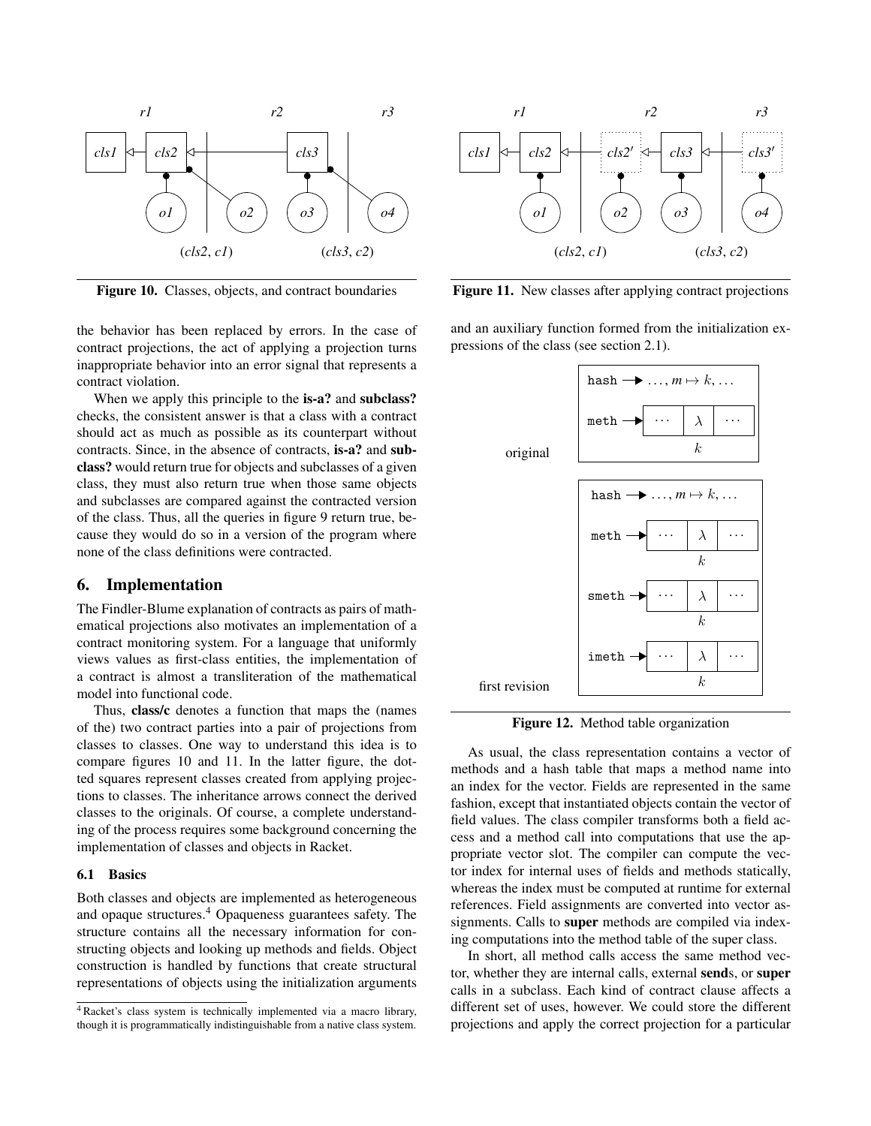

Figure 10. Classes, objects, and contract boundaries

the behavior has been replaced by errors. In the case of contract projections, the act of applying a projection turns inappropriate behavior into an error signal that represents a contract violation.

When we apply this principle to the **is-a?** and **subclass?** checks, the consistent answer is that a class with a contract should act as much as possible as its counterpart without contracts. Since, in the absence of contracts, is-a? and subclass? would return true for objects and subclasses of a given class, they must also return true when those same objects and subclasses are compared against the contracted version of the class. Thus, all the queries in figure 9 return true, because they would do so in a version of the program where none of the class definitions were contracted.

## 6. Implementation

The Findler-Blume explanation of contracts as pairs of mathematical projections also motivates an implementation of a contract monitoring system. For a language that uniformly views values as first-class entities, the implementation of a contract is almost a transliteration of the mathematical model into functional code.

Thus, class/c denotes a function that maps the (names of the) two contract parties into a pair of projections from classes to classes. One way to understand this idea is to compare figures 10 and 11. In the latter figure, the dotted squares represent classes created from applying projections to classes. The inheritance arrows connect the derived classes to the originals. Of course, a complete understanding of the process requires some background concerning the implementation of classes and objects in Racket.

#### 6.1 Basics

Both classes and objects are implemented as heterogeneous and opaque structures.<sup>4</sup> Opaqueness guarantees safety. The structure contains all the necessary information for constructing objects and looking up methods and fields. Object construction is handled by functions that create structural representations of objects using the initialization arguments



Figure 11. New classes after applying contract projections

and an auxiliary function formed from the initialization expressions of the class (see section 2.1).



Figure 12. Method table organization

As usual, the class representation contains a vector of methods and a hash table that maps a method name into an index for the vector. Fields are represented in the same fashion, except that instantiated objects contain the vector of field values. The class compiler transforms both a field access and a method call into computations that use the appropriate vector slot. The compiler can compute the vector index for internal uses of fields and methods statically, whereas the index must be computed at runtime for external references. Field assignments are converted into vector assignments. Calls to super methods are compiled via indexing computations into the method table of the super class.

In short, all method calls access the same method vector, whether they are internal calls, external sends, or super calls in a subclass. Each kind of contract clause affects a different set of uses, however. We could store the different projections and apply the correct projection for a particular

<sup>&</sup>lt;sup>4</sup> Racket's class system is technically implemented via a macro library, though it is programmatically indistinguishable from a native class system.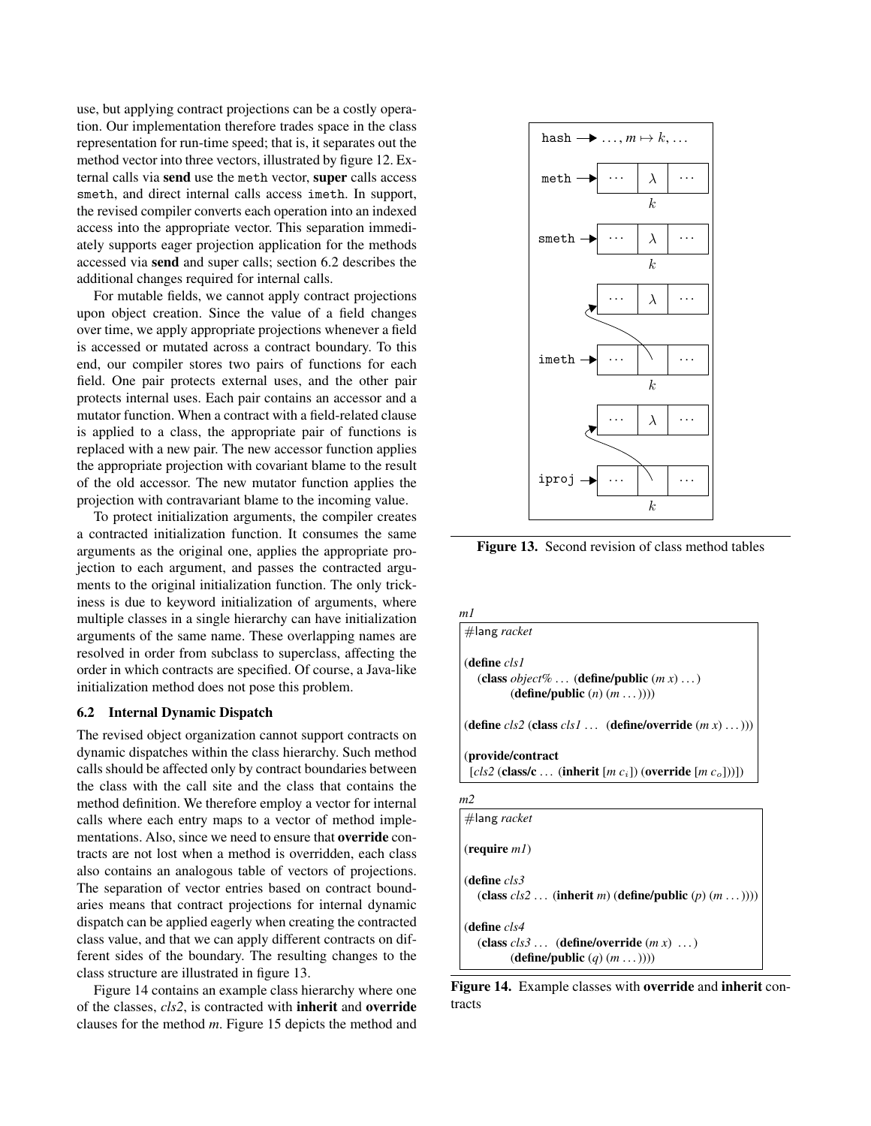use, but applying contract projections can be a costly operation. Our implementation therefore trades space in the class representation for run-time speed; that is, it separates out the method vector into three vectors, illustrated by figure 12. External calls via send use the meth vector, super calls access smeth, and direct internal calls access imeth. In support, the revised compiler converts each operation into an indexed access into the appropriate vector. This separation immediately supports eager projection application for the methods accessed via send and super calls; section 6.2 describes the additional changes required for internal calls.

For mutable fields, we cannot apply contract projections upon object creation. Since the value of a field changes over time, we apply appropriate projections whenever a field is accessed or mutated across a contract boundary. To this end, our compiler stores two pairs of functions for each field. One pair protects external uses, and the other pair protects internal uses. Each pair contains an accessor and a mutator function. When a contract with a field-related clause is applied to a class, the appropriate pair of functions is replaced with a new pair. The new accessor function applies the appropriate projection with covariant blame to the result of the old accessor. The new mutator function applies the projection with contravariant blame to the incoming value.

To protect initialization arguments, the compiler creates a contracted initialization function. It consumes the same arguments as the original one, applies the appropriate projection to each argument, and passes the contracted arguments to the original initialization function. The only trickiness is due to keyword initialization of arguments, where multiple classes in a single hierarchy can have initialization arguments of the same name. These overlapping names are resolved in order from subclass to superclass, affecting the order in which contracts are specified. Of course, a Java-like initialization method does not pose this problem.

#### 6.2 Internal Dynamic Dispatch

The revised object organization cannot support contracts on dynamic dispatches within the class hierarchy. Such method calls should be affected only by contract boundaries between the class with the call site and the class that contains the method definition. We therefore employ a vector for internal calls where each entry maps to a vector of method implementations. Also, since we need to ensure that override contracts are not lost when a method is overridden, each class also contains an analogous table of vectors of projections. The separation of vector entries based on contract boundaries means that contract projections for internal dynamic dispatch can be applied eagerly when creating the contracted class value, and that we can apply different contracts on different sides of the boundary. The resulting changes to the class structure are illustrated in figure 13.

Figure 14 contains an example class hierarchy where one of the classes, *cls2*, is contracted with inherit and override clauses for the method *m*. Figure 15 depicts the method and



Figure 13. Second revision of class method tables

*m1* #lang *racket* (define *cls1* (class *object%* . . . (define/public (*m x*) . . . ) (define/public (*n*) (*m* . . . )))) (define  $cls2$  (class  $cls1$  ... (define/override  $(m x)$  ...))) (provide/contract [*cls2* (class/c . . . (inherit [*m c*i]) (override [*m c*o]))]) *m2* #lang *racket*

(require *m1*) (define *cls3* (class *cls2* . . . (inherit *m*) (define/public (*p*) (*m* . . . )))) (define *cls4*  $(\text{class } cls3 \ldots (\text{define}/\text{override } (m x) \ldots)$ (define/public (*q*) (*m* . . . ))))

Figure 14. Example classes with override and inherit contracts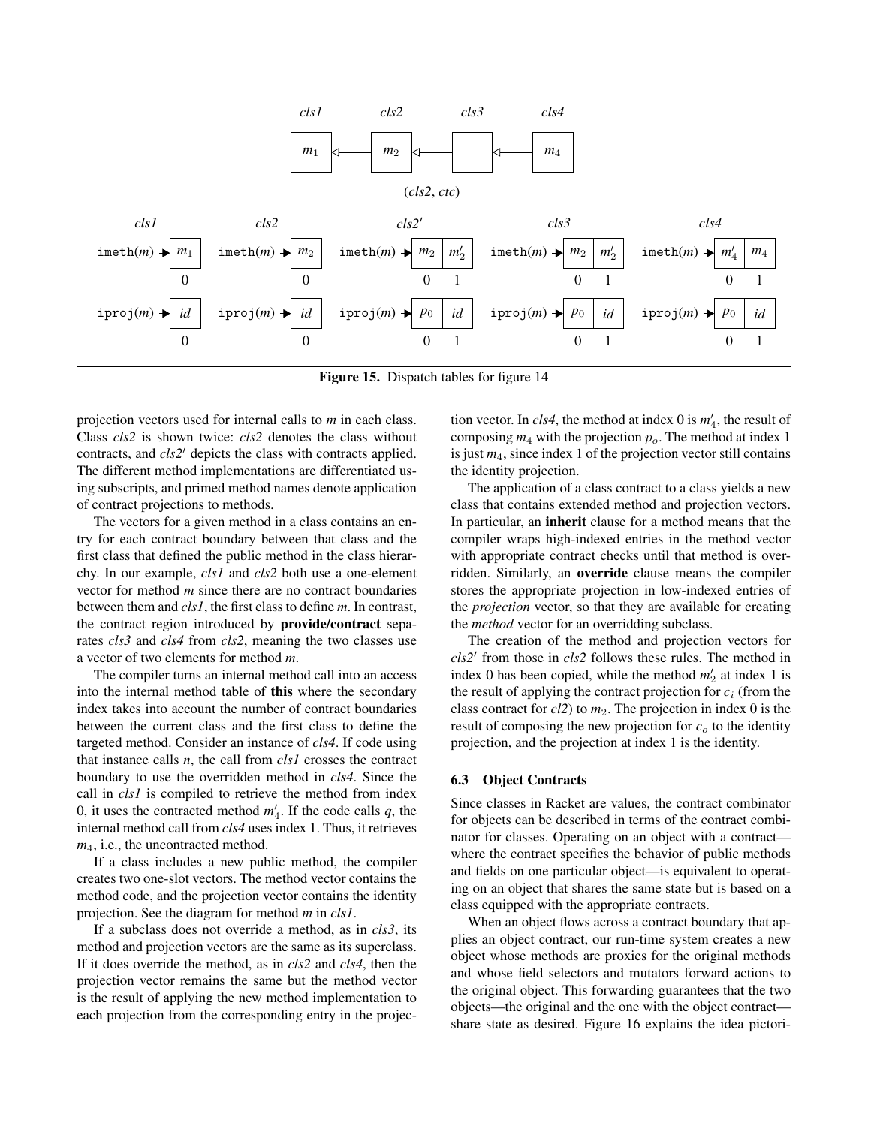

Figure 15. Dispatch tables for figure 14

projection vectors used for internal calls to *m* in each class. Class *cls2* is shown twice: *cls2* denotes the class without contracts, and *cls2'* depicts the class with contracts applied. The different method implementations are differentiated using subscripts, and primed method names denote application of contract projections to methods.

The vectors for a given method in a class contains an entry for each contract boundary between that class and the first class that defined the public method in the class hierarchy. In our example, *cls1* and *cls2* both use a one-element vector for method *m* since there are no contract boundaries between them and *cls1*, the first class to define *m*. In contrast, the contract region introduced by provide/contract separates *cls3* and *cls4* from *cls2*, meaning the two classes use a vector of two elements for method *m*.

The compiler turns an internal method call into an access into the internal method table of this where the secondary index takes into account the number of contract boundaries between the current class and the first class to define the targeted method. Consider an instance of *cls4*. If code using that instance calls *n*, the call from *cls1* crosses the contract boundary to use the overridden method in *cls4*. Since the call in *cls1* is compiled to retrieve the method from index 0, it uses the contracted method  $m'_4$ . If the code calls  $q$ , the internal method call from *cls4* uses index 1. Thus, it retrieves *m*4, i.e., the uncontracted method.

If a class includes a new public method, the compiler creates two one-slot vectors. The method vector contains the method code, and the projection vector contains the identity projection. See the diagram for method *m* in *cls1*.

If a subclass does not override a method, as in *cls3*, its method and projection vectors are the same as its superclass. If it does override the method, as in *cls2* and *cls4*, then the projection vector remains the same but the method vector is the result of applying the new method implementation to each projection from the corresponding entry in the projec-

tion vector. In  $cls4$ , the method at index 0 is  $m'_4$ , the result of composing  $m_4$  with the projection  $p_0$ . The method at index 1 is just *m*4, since index 1 of the projection vector still contains the identity projection.

The application of a class contract to a class yields a new class that contains extended method and projection vectors. In particular, an inherit clause for a method means that the compiler wraps high-indexed entries in the method vector with appropriate contract checks until that method is overridden. Similarly, an override clause means the compiler stores the appropriate projection in low-indexed entries of the *projection* vector, so that they are available for creating the *method* vector for an overridding subclass.

The creation of the method and projection vectors for cls2' from those in *cls2* follows these rules. The method in index 0 has been copied, while the method  $m'_2$  at index 1 is the result of applying the contract projection for  $c_i$  (from the class contract for *cl2*) to *m*2. The projection in index 0 is the result of composing the new projection for  $c<sub>o</sub>$  to the identity projection, and the projection at index 1 is the identity.

#### 6.3 Object Contracts

Since classes in Racket are values, the contract combinator for objects can be described in terms of the contract combinator for classes. Operating on an object with a contract where the contract specifies the behavior of public methods and fields on one particular object—is equivalent to operating on an object that shares the same state but is based on a class equipped with the appropriate contracts.

When an object flows across a contract boundary that applies an object contract, our run-time system creates a new object whose methods are proxies for the original methods and whose field selectors and mutators forward actions to the original object. This forwarding guarantees that the two objects—the original and the one with the object contract share state as desired. Figure 16 explains the idea pictori-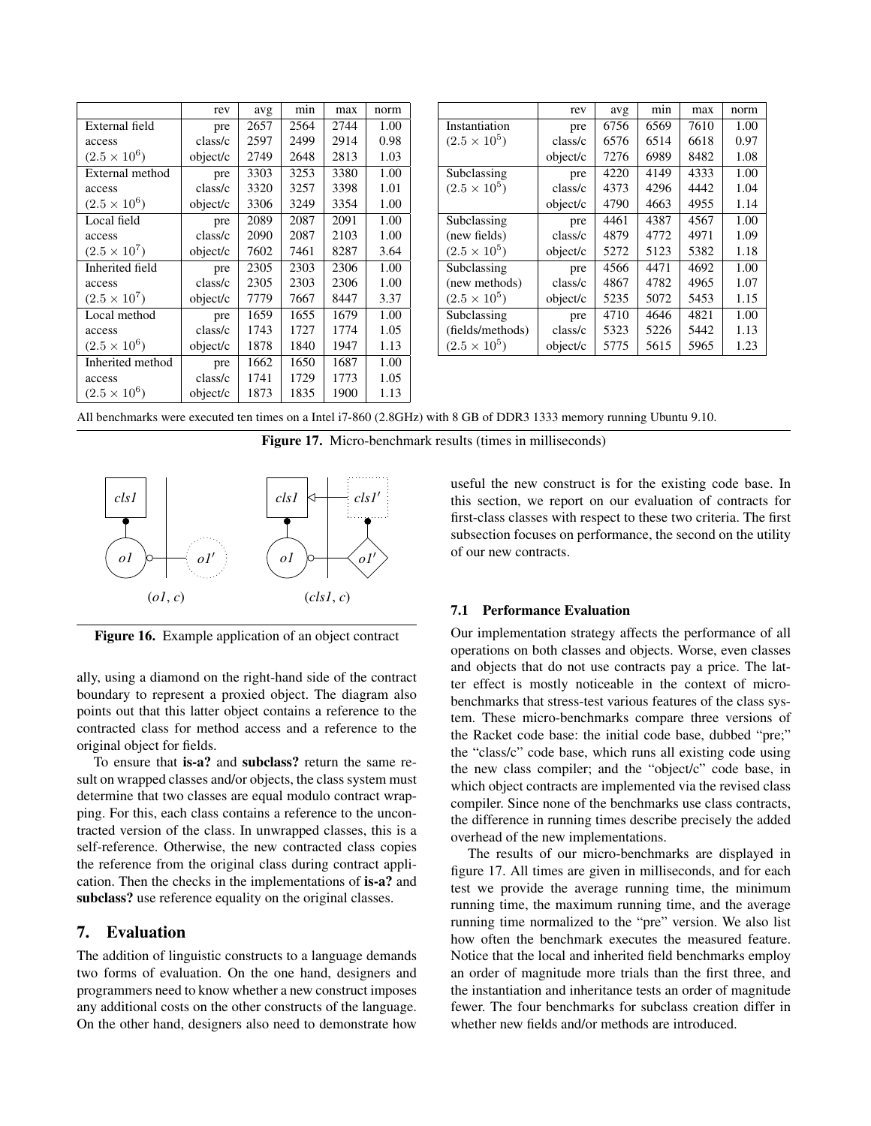|                     | rev      | avg  | min  | max  | norm |
|---------------------|----------|------|------|------|------|
| External field      | pre      | 2657 | 2564 | 2744 | 1.00 |
| access              | class/c  | 2597 | 2499 | 2914 | 0.98 |
| $(2.5 \times 10^6)$ | object/c | 2749 | 2648 | 2813 | 1.03 |
| External method     | pre      | 3303 | 3253 | 3380 | 1.00 |
| access              | class/c  | 3320 | 3257 | 3398 | 1.01 |
| $(2.5 \times 10^6)$ | object/c | 3306 | 3249 | 3354 | 1.00 |
| Local field         | pre      | 2089 | 2087 | 2091 | 1.00 |
| access              | class/c  | 2090 | 2087 | 2103 | 1.00 |
| $(2.5 \times 10^7)$ | object/c | 7602 | 7461 | 8287 | 3.64 |
| Inherited field     | pre      | 2305 | 2303 | 2306 | 1.00 |
| access              | class/c  | 2305 | 2303 | 2306 | 1.00 |
| $(2.5 \times 10^7)$ | object/c | 7779 | 7667 | 8447 | 3.37 |
| Local method        | pre      |      | 1655 | 1679 | 1.00 |
| access              | class/c  | 1743 | 1727 | 1774 | 1.05 |
| $(2.5 \times 10^6)$ | object/c | 1878 | 1840 | 1947 | 1.13 |
| Inherited method    | pre      | 1662 | 1650 | 1687 | 1.00 |
| access              | class/c  | 1741 | 1729 | 1773 | 1.05 |
| $(2.5 \times 10^6)$ | object/c | 1873 | 1835 | 1900 | 1.13 |

|                       | rev      | avg  | min  | max  | norm |
|-----------------------|----------|------|------|------|------|
| Instantiation         | pre      | 6756 | 6569 | 7610 | 1.00 |
| $(2.5 \times 10^5)$   | class/c  | 6576 | 6514 | 6618 | 0.97 |
|                       | object/c | 7276 | 6989 | 8482 | 1.08 |
| Subclassing           | pre      | 4220 | 4149 | 4333 | 1.00 |
| $(2.5 \times 10^5)$   | class/c  | 4373 | 4296 | 4442 | 1.04 |
|                       | object/c | 4790 | 4663 | 4955 | 1.14 |
| Subclassing           | pre      | 4461 | 4387 | 4567 | 1.00 |
| (new fields)          | class/c  | 4879 | 4772 | 4971 | 1.09 |
| $(2.5 \times 10^{5})$ | object/c | 5272 | 5123 | 5382 | 1.18 |
| Subclassing           | pre      | 4566 | 4471 | 4692 | 1.00 |
| (new methods)         | class/c  | 4867 | 4782 | 4965 | 1.07 |
| $(2.5 \times 10^{5})$ | object/c | 5235 | 5072 | 5453 | 1.15 |
| Subclassing           | pre      | 4710 | 4646 | 4821 | 1.00 |
| (fields/methods)      | class/c  | 5323 | 5226 | 5442 | 1.13 |
| $(2.5 \times 10^{5})$ | object/c | 5775 | 5615 | 5965 | 1.23 |

All benchmarks were executed ten times on a Intel i7-860 (2.8GHz) with 8 GB of DDR3 1333 memory running Ubuntu 9.10.

Figure 17. Micro-benchmark results (times in milliseconds)



Figure 16. Example application of an object contract

ally, using a diamond on the right-hand side of the contract boundary to represent a proxied object. The diagram also points out that this latter object contains a reference to the contracted class for method access and a reference to the original object for fields.

To ensure that is-a? and subclass? return the same result on wrapped classes and/or objects, the class system must determine that two classes are equal modulo contract wrapping. For this, each class contains a reference to the uncontracted version of the class. In unwrapped classes, this is a self-reference. Otherwise, the new contracted class copies the reference from the original class during contract application. Then the checks in the implementations of is-a? and subclass? use reference equality on the original classes.

## 7. Evaluation

The addition of linguistic constructs to a language demands two forms of evaluation. On the one hand, designers and programmers need to know whether a new construct imposes any additional costs on the other constructs of the language. On the other hand, designers also need to demonstrate how useful the new construct is for the existing code base. In this section, we report on our evaluation of contracts for first-class classes with respect to these two criteria. The first subsection focuses on performance, the second on the utility of our new contracts.

#### 7.1 Performance Evaluation

Our implementation strategy affects the performance of all operations on both classes and objects. Worse, even classes and objects that do not use contracts pay a price. The latter effect is mostly noticeable in the context of microbenchmarks that stress-test various features of the class system. These micro-benchmarks compare three versions of the Racket code base: the initial code base, dubbed "pre;" the "class/c" code base, which runs all existing code using the new class compiler; and the "object/c" code base, in which object contracts are implemented via the revised class compiler. Since none of the benchmarks use class contracts, the difference in running times describe precisely the added overhead of the new implementations.

The results of our micro-benchmarks are displayed in figure 17. All times are given in milliseconds, and for each test we provide the average running time, the minimum running time, the maximum running time, and the average running time normalized to the "pre" version. We also list how often the benchmark executes the measured feature. Notice that the local and inherited field benchmarks employ an order of magnitude more trials than the first three, and the instantiation and inheritance tests an order of magnitude fewer. The four benchmarks for subclass creation differ in whether new fields and/or methods are introduced.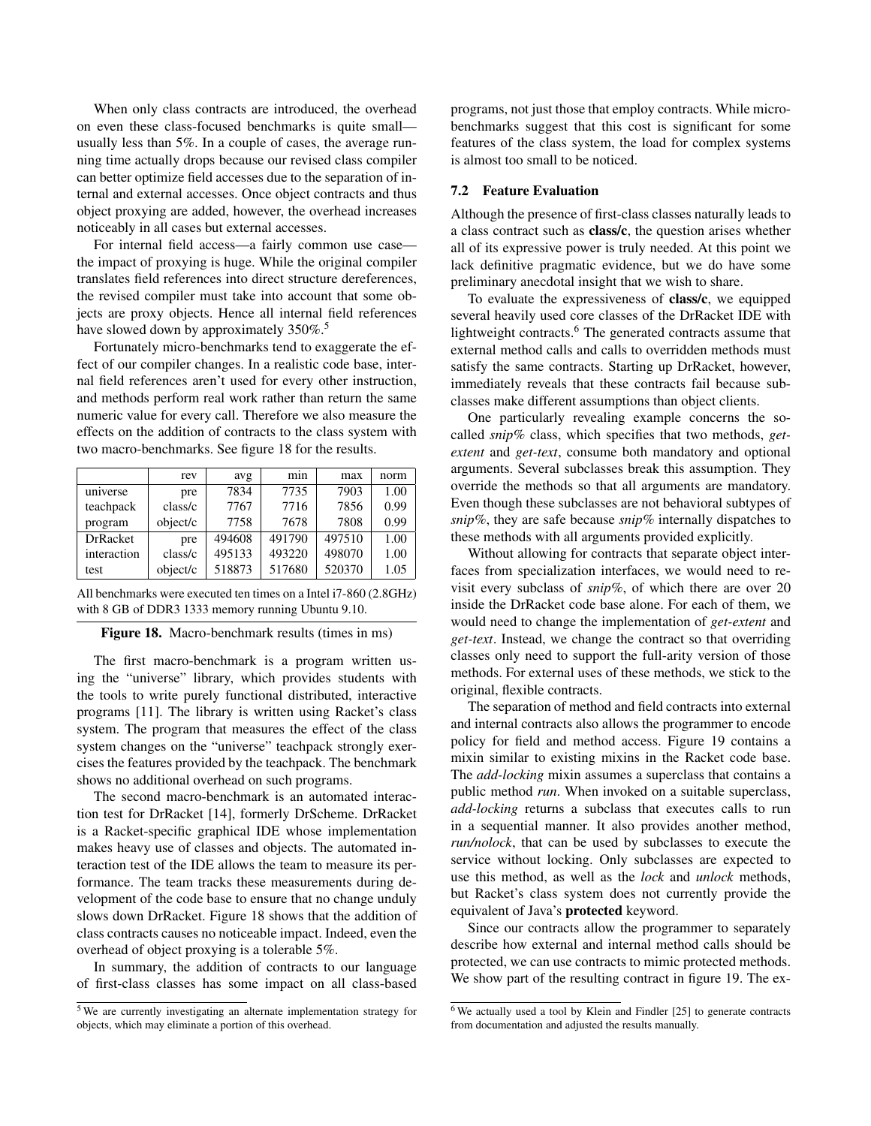When only class contracts are introduced, the overhead on even these class-focused benchmarks is quite small usually less than 5%. In a couple of cases, the average running time actually drops because our revised class compiler can better optimize field accesses due to the separation of internal and external accesses. Once object contracts and thus object proxying are added, however, the overhead increases noticeably in all cases but external accesses.

For internal field access—a fairly common use case the impact of proxying is huge. While the original compiler translates field references into direct structure dereferences, the revised compiler must take into account that some objects are proxy objects. Hence all internal field references have slowed down by approximately 350%.<sup>5</sup>

Fortunately micro-benchmarks tend to exaggerate the effect of our compiler changes. In a realistic code base, internal field references aren't used for every other instruction, and methods perform real work rather than return the same numeric value for every call. Therefore we also measure the effects on the addition of contracts to the class system with two macro-benchmarks. See figure 18 for the results.

|                 | rev      | avg    | min    | max    | norm |
|-----------------|----------|--------|--------|--------|------|
| universe        | pre      | 7834   | 7735   | 7903   | 1.00 |
| teachpack       | class/c  | 7767   | 7716   | 7856   | 0.99 |
| program         | object/c | 7758   | 7678   | 7808   | 0.99 |
| <b>DrRacket</b> | pre      | 494608 | 491790 | 497510 | 1.00 |
| interaction     | class/c  | 495133 | 493220 | 498070 | 1.00 |
| test            | object/c | 518873 | 517680 | 520370 | 1.05 |

All benchmarks were executed ten times on a Intel i7-860 (2.8GHz) with 8 GB of DDR3 1333 memory running Ubuntu 9.10.

#### Figure 18. Macro-benchmark results (times in ms)

The first macro-benchmark is a program written using the "universe" library, which provides students with the tools to write purely functional distributed, interactive programs [11]. The library is written using Racket's class system. The program that measures the effect of the class system changes on the "universe" teachpack strongly exercises the features provided by the teachpack. The benchmark shows no additional overhead on such programs.

The second macro-benchmark is an automated interaction test for DrRacket [14], formerly DrScheme. DrRacket is a Racket-specific graphical IDE whose implementation makes heavy use of classes and objects. The automated interaction test of the IDE allows the team to measure its performance. The team tracks these measurements during development of the code base to ensure that no change unduly slows down DrRacket. Figure 18 shows that the addition of class contracts causes no noticeable impact. Indeed, even the overhead of object proxying is a tolerable 5%.

In summary, the addition of contracts to our language of first-class classes has some impact on all class-based programs, not just those that employ contracts. While microbenchmarks suggest that this cost is significant for some features of the class system, the load for complex systems is almost too small to be noticed.

#### 7.2 Feature Evaluation

Although the presence of first-class classes naturally leads to a class contract such as class/c, the question arises whether all of its expressive power is truly needed. At this point we lack definitive pragmatic evidence, but we do have some preliminary anecdotal insight that we wish to share.

To evaluate the expressiveness of class/c, we equipped several heavily used core classes of the DrRacket IDE with lightweight contracts.<sup>6</sup> The generated contracts assume that external method calls and calls to overridden methods must satisfy the same contracts. Starting up DrRacket, however, immediately reveals that these contracts fail because subclasses make different assumptions than object clients.

One particularly revealing example concerns the socalled *snip%* class, which specifies that two methods, *getextent* and *get-text*, consume both mandatory and optional arguments. Several subclasses break this assumption. They override the methods so that all arguments are mandatory. Even though these subclasses are not behavioral subtypes of *snip%*, they are safe because *snip%* internally dispatches to these methods with all arguments provided explicitly.

Without allowing for contracts that separate object interfaces from specialization interfaces, we would need to revisit every subclass of *snip%*, of which there are over 20 inside the DrRacket code base alone. For each of them, we would need to change the implementation of *get-extent* and *get-text*. Instead, we change the contract so that overriding classes only need to support the full-arity version of those methods. For external uses of these methods, we stick to the original, flexible contracts.

The separation of method and field contracts into external and internal contracts also allows the programmer to encode policy for field and method access. Figure 19 contains a mixin similar to existing mixins in the Racket code base. The *add-locking* mixin assumes a superclass that contains a public method *run*. When invoked on a suitable superclass, *add-locking* returns a subclass that executes calls to run in a sequential manner. It also provides another method, *run/nolock*, that can be used by subclasses to execute the service without locking. Only subclasses are expected to use this method, as well as the *lock* and *unlock* methods, but Racket's class system does not currently provide the equivalent of Java's protected keyword.

Since our contracts allow the programmer to separately describe how external and internal method calls should be protected, we can use contracts to mimic protected methods. We show part of the resulting contract in figure 19. The ex-

 $5$  We are currently investigating an alternate implementation strategy for objects, which may eliminate a portion of this overhead.

<sup>6</sup> We actually used a tool by Klein and Findler [25] to generate contracts from documentation and adjusted the results manually.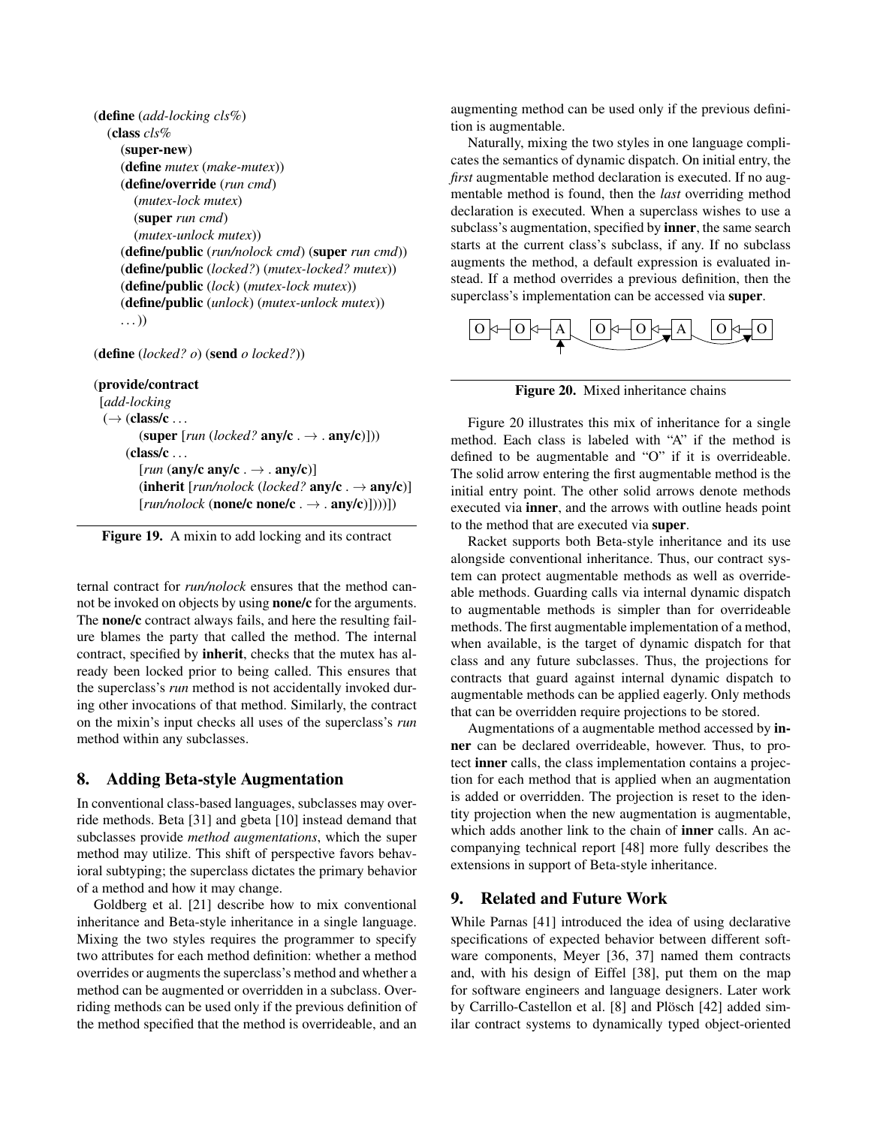```
(define (add-locking cls%)
  (class cls%
    (super-new)
    (define mutex (make-mutex))
    (define/override (run cmd)
      (mutex-lock mutex)
      (super run cmd)
      (mutex-unlock mutex))
    (define/public (run/nolock cmd) (super run cmd))
    (define/public (locked?) (mutex-locked? mutex))
    (define/public (lock) (mutex-lock mutex))
    (define/public (unlock) (mutex-unlock mutex))
    \ldots)
```
(define (*locked? o*) (send *o locked?*))

#### (provide/contract

[*add-locking*  $(\rightarrow$  (class/c  $\dots$ ) (super  $[run (locked?$  any/c .  $\rightarrow$  . any/c)]))  $(class/c \dots$ [*run* (any/c any/c .  $\rightarrow$  . any/c)] (inherit [ $run/nolock$  (locked? any/c .  $\rightarrow$  any/c)]  $[run/nolock$  (**none/c** none/c .  $\rightarrow$  . any/c)]))])



ternal contract for *run/nolock* ensures that the method cannot be invoked on objects by using none/c for the arguments. The none/c contract always fails, and here the resulting failure blames the party that called the method. The internal contract, specified by inherit, checks that the mutex has already been locked prior to being called. This ensures that the superclass's *run* method is not accidentally invoked during other invocations of that method. Similarly, the contract on the mixin's input checks all uses of the superclass's *run* method within any subclasses.

## 8. Adding Beta-style Augmentation

In conventional class-based languages, subclasses may override methods. Beta [31] and gbeta [10] instead demand that subclasses provide *method augmentations*, which the super method may utilize. This shift of perspective favors behavioral subtyping; the superclass dictates the primary behavior of a method and how it may change.

Goldberg et al. [21] describe how to mix conventional inheritance and Beta-style inheritance in a single language. Mixing the two styles requires the programmer to specify two attributes for each method definition: whether a method overrides or augments the superclass's method and whether a method can be augmented or overridden in a subclass. Overriding methods can be used only if the previous definition of the method specified that the method is overrideable, and an augmenting method can be used only if the previous definition is augmentable.

Naturally, mixing the two styles in one language complicates the semantics of dynamic dispatch. On initial entry, the *first* augmentable method declaration is executed. If no augmentable method is found, then the *last* overriding method declaration is executed. When a superclass wishes to use a subclass's augmentation, specified by inner, the same search starts at the current class's subclass, if any. If no subclass augments the method, a default expression is evaluated instead. If a method overrides a previous definition, then the superclass's implementation can be accessed via super.



Figure 20. Mixed inheritance chains

Figure 20 illustrates this mix of inheritance for a single method. Each class is labeled with "A" if the method is defined to be augmentable and "O" if it is overrideable. The solid arrow entering the first augmentable method is the initial entry point. The other solid arrows denote methods executed via inner, and the arrows with outline heads point to the method that are executed via super.

Racket supports both Beta-style inheritance and its use alongside conventional inheritance. Thus, our contract system can protect augmentable methods as well as overrideable methods. Guarding calls via internal dynamic dispatch to augmentable methods is simpler than for overrideable methods. The first augmentable implementation of a method, when available, is the target of dynamic dispatch for that class and any future subclasses. Thus, the projections for contracts that guard against internal dynamic dispatch to augmentable methods can be applied eagerly. Only methods that can be overridden require projections to be stored.

Augmentations of a augmentable method accessed by inner can be declared overrideable, however. Thus, to protect inner calls, the class implementation contains a projection for each method that is applied when an augmentation is added or overridden. The projection is reset to the identity projection when the new augmentation is augmentable, which adds another link to the chain of inner calls. An accompanying technical report [48] more fully describes the extensions in support of Beta-style inheritance.

## 9. Related and Future Work

While Parnas [41] introduced the idea of using declarative specifications of expected behavior between different software components, Meyer [36, 37] named them contracts and, with his design of Eiffel [38], put them on the map for software engineers and language designers. Later work by Carrillo-Castellon et al. [8] and Plösch [42] added similar contract systems to dynamically typed object-oriented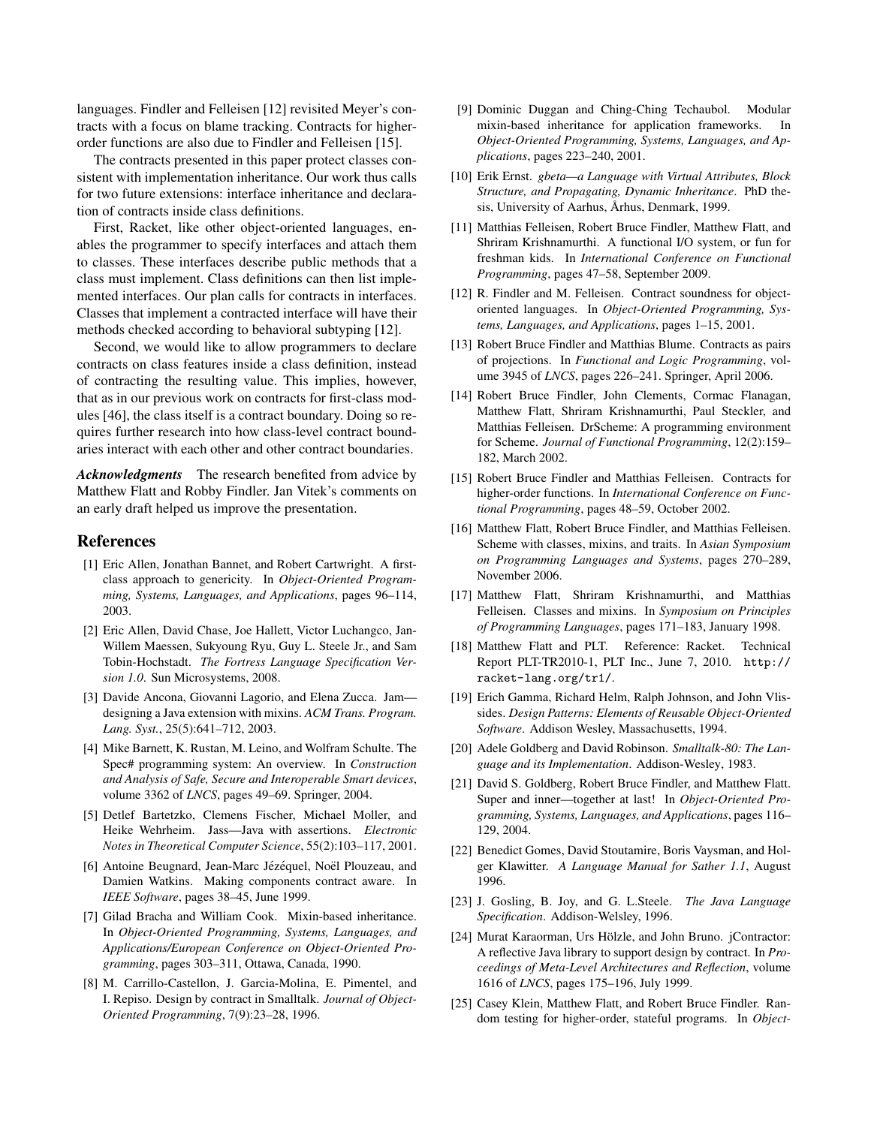languages. Findler and Felleisen [12] revisited Meyer's contracts with a focus on blame tracking. Contracts for higherorder functions are also due to Findler and Felleisen [15].

The contracts presented in this paper protect classes consistent with implementation inheritance. Our work thus calls for two future extensions: interface inheritance and declaration of contracts inside class definitions.

First, Racket, like other object-oriented languages, enables the programmer to specify interfaces and attach them to classes. These interfaces describe public methods that a class must implement. Class definitions can then list implemented interfaces. Our plan calls for contracts in interfaces. Classes that implement a contracted interface will have their methods checked according to behavioral subtyping [12].

Second, we would like to allow programmers to declare contracts on class features inside a class definition, instead of contracting the resulting value. This implies, however, that as in our previous work on contracts for first-class modules [46], the class itself is a contract boundary. Doing so requires further research into how class-level contract boundaries interact with each other and other contract boundaries.

*Acknowledgments* The research benefited from advice by Matthew Flatt and Robby Findler. Jan Vitek's comments on an early draft helped us improve the presentation.

## References

- [1] Eric Allen, Jonathan Bannet, and Robert Cartwright. A firstclass approach to genericity. In *Object-Oriented Programming, Systems, Languages, and Applications*, pages 96–114, 2003.
- [2] Eric Allen, David Chase, Joe Hallett, Victor Luchangco, Jan-Willem Maessen, Sukyoung Ryu, Guy L. Steele Jr., and Sam Tobin-Hochstadt. *The Fortress Language Specification Version 1.0*. Sun Microsystems, 2008.
- [3] Davide Ancona, Giovanni Lagorio, and Elena Zucca. Jam designing a Java extension with mixins. *ACM Trans. Program. Lang. Syst.*, 25(5):641–712, 2003.
- [4] Mike Barnett, K. Rustan, M. Leino, and Wolfram Schulte. The Spec# programming system: An overview. In *Construction and Analysis of Safe, Secure and Interoperable Smart devices*, volume 3362 of *LNCS*, pages 49–69. Springer, 2004.
- [5] Detlef Bartetzko, Clemens Fischer, Michael Moller, and Heike Wehrheim. Jass—Java with assertions. *Electronic Notes in Theoretical Computer Science*, 55(2):103–117, 2001.
- [6] Antoine Beugnard, Jean-Marc Jézéquel, Noël Plouzeau, and Damien Watkins. Making components contract aware. In *IEEE Software*, pages 38–45, June 1999.
- [7] Gilad Bracha and William Cook. Mixin-based inheritance. In *Object-Oriented Programming, Systems, Languages, and Applications/European Conference on Object-Oriented Programming*, pages 303–311, Ottawa, Canada, 1990.
- [8] M. Carrillo-Castellon, J. Garcia-Molina, E. Pimentel, and I. Repiso. Design by contract in Smalltalk. *Journal of Object-Oriented Programming*, 7(9):23–28, 1996.
- [9] Dominic Duggan and Ching-Ching Techaubol. Modular mixin-based inheritance for application frameworks. In *Object-Oriented Programming, Systems, Languages, and Applications*, pages 223–240, 2001.
- [10] Erik Ernst. *gbeta—a Language with Virtual Attributes, Block Structure, and Propagating, Dynamic Inheritance*. PhD thesis, University of Aarhus, Århus, Denmark, 1999.
- [11] Matthias Felleisen, Robert Bruce Findler, Matthew Flatt, and Shriram Krishnamurthi. A functional I/O system, or fun for freshman kids. In *International Conference on Functional Programming*, pages 47–58, September 2009.
- [12] R. Findler and M. Felleisen. Contract soundness for objectoriented languages. In *Object-Oriented Programming, Systems, Languages, and Applications*, pages 1–15, 2001.
- [13] Robert Bruce Findler and Matthias Blume. Contracts as pairs of projections. In *Functional and Logic Programming*, volume 3945 of *LNCS*, pages 226–241. Springer, April 2006.
- [14] Robert Bruce Findler, John Clements, Cormac Flanagan, Matthew Flatt, Shriram Krishnamurthi, Paul Steckler, and Matthias Felleisen. DrScheme: A programming environment for Scheme. *Journal of Functional Programming*, 12(2):159– 182, March 2002.
- [15] Robert Bruce Findler and Matthias Felleisen. Contracts for higher-order functions. In *International Conference on Functional Programming*, pages 48–59, October 2002.
- [16] Matthew Flatt, Robert Bruce Findler, and Matthias Felleisen. Scheme with classes, mixins, and traits. In *Asian Symposium on Programming Languages and Systems*, pages 270–289, November 2006.
- [17] Matthew Flatt, Shriram Krishnamurthi, and Matthias Felleisen. Classes and mixins. In *Symposium on Principles of Programming Languages*, pages 171–183, January 1998.
- [18] Matthew Flatt and PLT. Reference: Racket. Technical Report PLT-TR2010-1, PLT Inc., June 7, 2010. http:// racket-lang.org/tr1/.
- [19] Erich Gamma, Richard Helm, Ralph Johnson, and John Vlissides. *Design Patterns: Elements of Reusable Object-Oriented Software*. Addison Wesley, Massachusetts, 1994.
- [20] Adele Goldberg and David Robinson. *Smalltalk-80: The Language and its Implementation*. Addison-Wesley, 1983.
- [21] David S. Goldberg, Robert Bruce Findler, and Matthew Flatt. Super and inner—together at last! In *Object-Oriented Programming, Systems, Languages, and Applications*, pages 116– 129, 2004.
- [22] Benedict Gomes, David Stoutamire, Boris Vaysman, and Holger Klawitter. *A Language Manual for Sather 1.1*, August 1996.
- [23] J. Gosling, B. Joy, and G. L.Steele. *The Java Language Specification*. Addison-Welsley, 1996.
- [24] Murat Karaorman, Urs Hölzle, and John Bruno. jContractor: A reflective Java library to support design by contract. In *Proceedings of Meta-Level Architectures and Reflection*, volume 1616 of *LNCS*, pages 175–196, July 1999.
- [25] Casey Klein, Matthew Flatt, and Robert Bruce Findler. Random testing for higher-order, stateful programs. In *Object-*